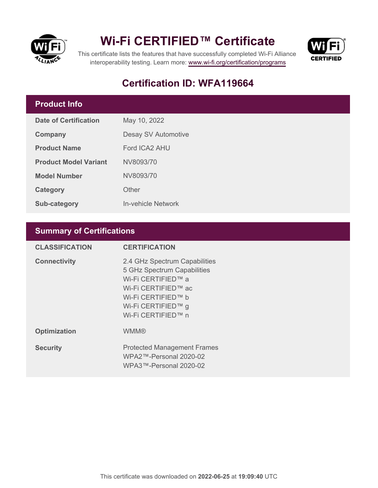

## **Wi-Fi CERTIFIED™ Certificate**



This certificate lists the features that have successfully completed Wi-Fi Alliance interoperability testing. Learn more:<www.wi-fi.org/certification/programs>

## **Certification ID: WFA119664**

### **Product Info**

| Date of Certification        | May 10, 2022        |  |
|------------------------------|---------------------|--|
| Company                      | Desay SV Automotive |  |
| <b>Product Name</b>          | Ford ICA2 AHU       |  |
| <b>Product Model Variant</b> | NV8093/70           |  |
| <b>Model Number</b>          | NV8093/70           |  |
| Category                     | Other               |  |
| <b>Sub-category</b>          | In-vehicle Network  |  |

### **Summary of Certifications**

| <b>CLASSIFICATION</b> | <b>CERTIFICATION</b>                                                                                                                                                        |
|-----------------------|-----------------------------------------------------------------------------------------------------------------------------------------------------------------------------|
| <b>Connectivity</b>   | 2.4 GHz Spectrum Capabilities<br>5 GHz Spectrum Capabilities<br>Wi-Fi CERTIFIED™ a<br>Wi-Fi CERTIFIED™ ac<br>Wi-Fi CERTIFIED™ b<br>Wi-Fi CERTIFIED™ g<br>Wi-Fi CERTIFIED™ n |
| <b>Optimization</b>   | <b>WMM®</b>                                                                                                                                                                 |
| <b>Security</b>       | <b>Protected Management Frames</b><br>WPA2™-Personal 2020-02<br>WPA3™-Personal 2020-02                                                                                      |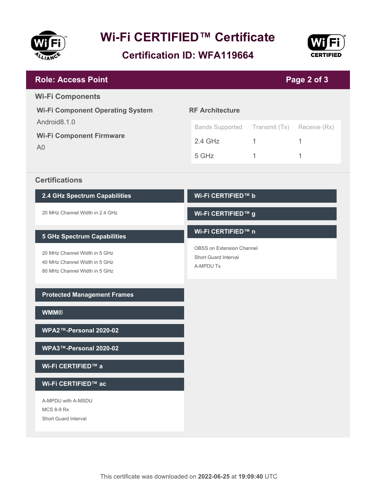

# **Wi-Fi CERTIFIED™ Certificate**

**Certification ID: WFA119664**



| <b>Role: Access Point</b><br>Page 2 of 3                                                                     |                                          |               |              |  |  |
|--------------------------------------------------------------------------------------------------------------|------------------------------------------|---------------|--------------|--|--|
| <b>Wi-Fi Components</b>                                                                                      |                                          |               |              |  |  |
| <b>Wi-Fi Component Operating System</b><br>Android8.1.0<br><b>Wi-Fi Component Firmware</b><br>A <sub>0</sub> | <b>RF Architecture</b>                   |               |              |  |  |
|                                                                                                              | <b>Bands Supported</b>                   | Transmit (Tx) | Receive (Rx) |  |  |
|                                                                                                              | $2.4$ GHz                                | $\mathbf{1}$  | 1            |  |  |
|                                                                                                              | 5 GHz                                    | 1             | 1            |  |  |
| <b>Certifications</b>                                                                                        |                                          |               |              |  |  |
| 2.4 GHz Spectrum Capabilities                                                                                | Wi-Fi CERTIFIED™ b                       |               |              |  |  |
| 20 MHz Channel Width in 2.4 GHz                                                                              | Wi-Fi CERTIFIED™ g                       |               |              |  |  |
| <b>5 GHz Spectrum Capabilities</b>                                                                           | Wi-Fi CERTIFIED™ n                       |               |              |  |  |
| 20 MHz Channel Width in 5 GHz                                                                                | OBSS on Extension Channel                |               |              |  |  |
| 40 MHz Channel Width in 5 GHz<br>80 MHz Channel Width in 5 GHz                                               | <b>Short Guard Interval</b><br>A-MPDU Tx |               |              |  |  |
|                                                                                                              |                                          |               |              |  |  |
| <b>Protected Management Frames</b>                                                                           |                                          |               |              |  |  |
| <b>WMM®</b>                                                                                                  |                                          |               |              |  |  |
| WPA2™-Personal 2020-02                                                                                       |                                          |               |              |  |  |
| WPA3™-Personal 2020-02                                                                                       |                                          |               |              |  |  |
| Wi-Fi CERTIFIED™ a                                                                                           |                                          |               |              |  |  |
| Wi-Fi CERTIFIED™ ac                                                                                          |                                          |               |              |  |  |
| A-MPDU with A-MSDU<br><b>MCS 8-9 Rx</b>                                                                      |                                          |               |              |  |  |
| <b>Short Guard Interval</b>                                                                                  |                                          |               |              |  |  |